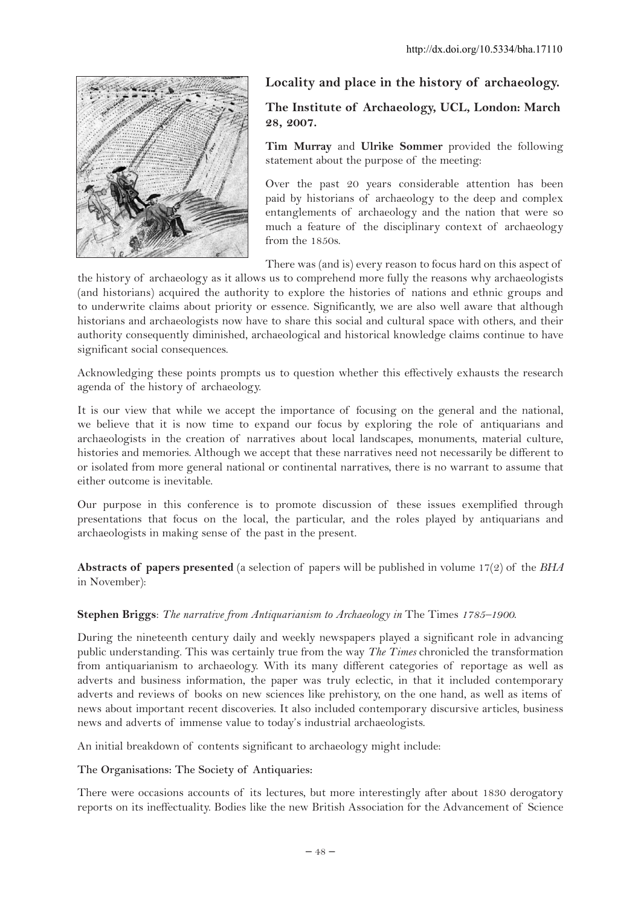

# **Locality and place in the history of archaeology.**

# **The Institute of Archaeology, UCL, London: March 28, 2007.**

**Tim Murray** and **Ulrike Sommer** provided the following statement about the purpose of the meeting:

Over the past 20 years considerable attention has been paid by historians of archaeology to the deep and complex entanglements of archaeology and the nation that were so much a feature of the disciplinary context of archaeology from the 1850s.

There was (and is) every reason to focus hard on this aspect of

the history of archaeology as it allows us to comprehend more fully the reasons why archaeologists (and historians) acquired the authority to explore the histories of nations and ethnic groups and to underwrite claims about priority or essence. Significantly, we are also well aware that although historians and archaeologists now have to share this social and cultural space with others, and their authority consequently diminished, archaeological and historical knowledge claims continue to have significant social consequences.

Acknowledging these points prompts us to question whether this effectively exhausts the research agenda of the history of archaeology.

It is our view that while we accept the importance of focusing on the general and the national, we believe that it is now time to expand our focus by exploring the role of antiquarians and archaeologists in the creation of narratives about local landscapes, monuments, material culture, histories and memories. Although we accept that these narratives need not necessarily be different to or isolated from more general national or continental narratives, there is no warrant to assume that either outcome is inevitable.

Our purpose in this conference is to promote discussion of these issues exemplified through presentations that focus on the local, the particular, and the roles played by antiquarians and archaeologists in making sense of the past in the present.

**Abstracts of papers presented** (a selection of papers will be published in volume 17(2) of the *BHA* in November):

## **Stephen Briggs**: *The narrative from Antiquarianism to Archaeology in* The Times *1785–1900*.

During the nineteenth century daily and weekly newspapers played a significant role in advancing public understanding. This was certainly true from the way *The Times* chronicled the transformation from antiquarianism to archaeology. With its many different categories of reportage as well as adverts and business information, the paper was truly eclectic, in that it included contemporary adverts and reviews of books on new sciences like prehistory, on the one hand, as well as items of news about important recent discoveries. It also included contemporary discursive articles, business news and adverts of immense value to today's industrial archaeologists.

An initial breakdown of contents significant to archaeology might include:

#### **The Organisations: The Society of Antiquaries:**

There were occasions accounts of its lectures, but more interestingly after about 1830 derogatory reports on its ineffectuality. Bodies like the new British Association for the Advancement of Science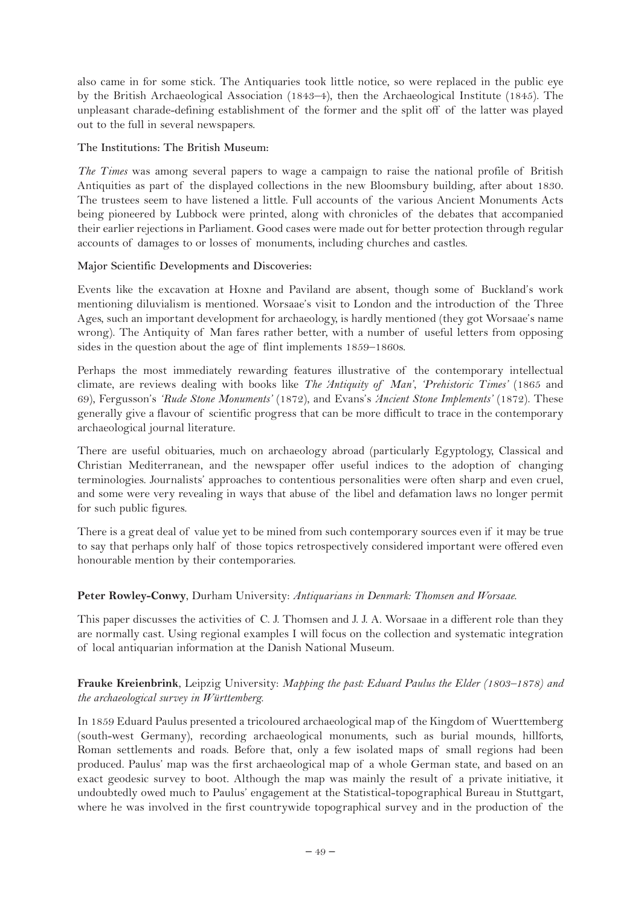also came in for some stick. The Antiquaries took little notice, so were replaced in the public eye by the British Archaeological Association (1843–4), then the Archaeological Institute (1845). The unpleasant charade-defining establishment of the former and the split off of the latter was played out to the full in several newspapers.

#### **The Institutions: The British Museum:**

*The Times* was among several papers to wage a campaign to raise the national profile of British Antiquities as part of the displayed collections in the new Bloomsbury building, after about 1830. The trustees seem to have listened a little. Full accounts of the various Ancient Monuments Acts being pioneered by Lubbock were printed, along with chronicles of the debates that accompanied their earlier rejections in Parliament. Good cases were made out for better protection through regular accounts of damages to or losses of monuments, including churches and castles.

#### **Major Scientific Developments and Discoveries:**

Events like the excavation at Hoxne and Paviland are absent, though some of Buckland's work mentioning diluvialism is mentioned. Worsaae's visit to London and the introduction of the Three Ages, such an important development for archaeology, is hardly mentioned (they got Worsaae's name wrong). The Antiquity of Man fares rather better, with a number of useful letters from opposing sides in the question about the age of flint implements 1859–1860s.

Perhaps the most immediately rewarding features illustrative of the contemporary intellectual climate, are reviews dealing with books like *The 'Antiquity of Man'*, *'Prehistoric Times'* (1865 and 69), Fergusson's *'Rude Stone Monuments'* (1872), and Evans's *'Ancient Stone Implements'* (1872). These generally give a flavour of scientific progress that can be more difficult to trace in the contemporary archaeological journal literature.

There are useful obituaries, much on archaeology abroad (particularly Egyptology, Classical and Christian Mediterranean, and the newspaper offer useful indices to the adoption of changing terminologies. Journalists' approaches to contentious personalities were often sharp and even cruel, and some were very revealing in ways that abuse of the libel and defamation laws no longer permit for such public figures.

There is a great deal of value yet to be mined from such contemporary sources even if it may be true to say that perhaps only half of those topics retrospectively considered important were offered even honourable mention by their contemporaries.

## **Peter Rowley-Conwy**, Durham University: *Antiquarians in Denmark: Thomsen and Worsaae.*

This paper discusses the activities of C. J. Thomsen and J. J. A. Worsaae in a different role than they are normally cast. Using regional examples I will focus on the collection and systematic integration of local antiquarian information at the Danish National Museum.

## **Frauke Kreienbrink**, Leipzig University: *Mapping the past: Eduard Paulus the Elder (1803–1878) and the archaeological survey in Württemberg.*

In 1859 Eduard Paulus presented a tricoloured archaeological map of the Kingdom of Wuerttemberg (south-west Germany), recording archaeological monuments, such as burial mounds, hillforts, Roman settlements and roads. Before that, only a few isolated maps of small regions had been produced. Paulus' map was the first archaeological map of a whole German state, and based on an exact geodesic survey to boot. Although the map was mainly the result of a private initiative, it undoubtedly owed much to Paulus' engagement at the Statistical-topographical Bureau in Stuttgart, where he was involved in the first countrywide topographical survey and in the production of the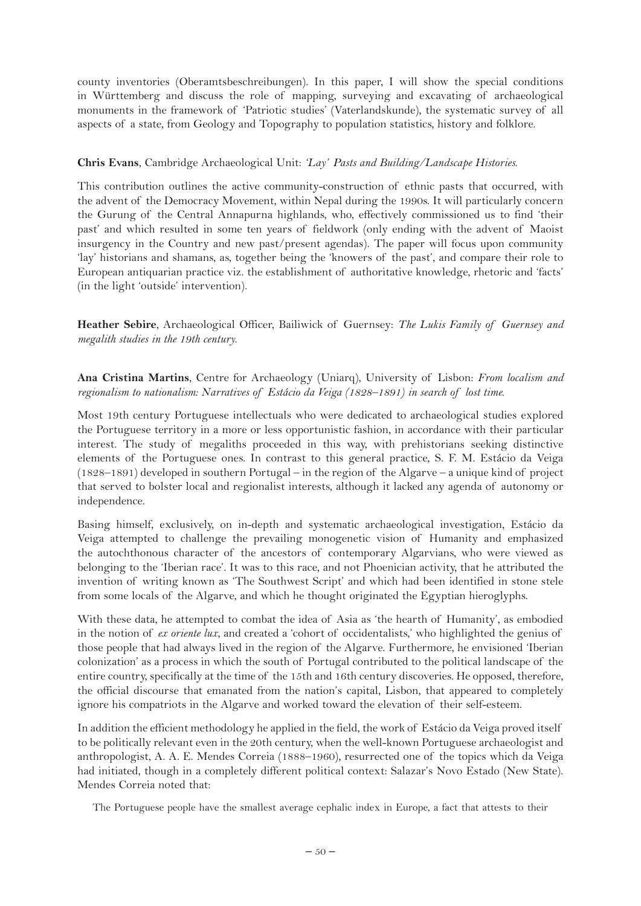county inventories (Oberamtsbeschreibungen). In this paper, I will show the special conditions in Württemberg and discuss the role of mapping, surveying and excavating of archaeological monuments in the framework of 'Patriotic studies' (Vaterlandskunde), the systematic survey of all aspects of a state, from Geology and Topography to population statistics, history and folklore.

## **Chris Evans**, Cambridge Archaeological Unit: *'Lay' Pasts and Building/Landscape Histories.*

This contribution outlines the active community-construction of ethnic pasts that occurred, with the advent of the Democracy Movement, within Nepal during the 1990s. It will particularly concern the Gurung of the Central Annapurna highlands, who, effectively commissioned us to find 'their past' and which resulted in some ten years of fieldwork (only ending with the advent of Maoist insurgency in the Country and new past/present agendas). The paper will focus upon community 'lay' historians and shamans, as, together being the 'knowers of the past', and compare their role to European antiquarian practice viz. the establishment of authoritative knowledge, rhetoric and 'facts' (in the light 'outside' intervention).

**Heather Sebire**, Archaeological Officer, Bailiwick of Guernsey: *The Lukis Family of Guernsey and megalith studies in the 19th century.*

#### **Ana Cristina Martins**, Centre for Archaeology (Uniarq), University of Lisbon: *From localism and regionalism to nationalism: Narratives of Estácio da Veiga (1828–1891) in search of lost time.*

Most 19th century Portuguese intellectuals who were dedicated to archaeological studies explored the Portuguese territory in a more or less opportunistic fashion, in accordance with their particular interest. The study of megaliths proceeded in this way, with prehistorians seeking distinctive elements of the Portuguese ones. In contrast to this general practice, S. F. M. Estácio da Veiga (1828–1891) developed in southern Portugal – in the region of the Algarve – a unique kind of project that served to bolster local and regionalist interests, although it lacked any agenda of autonomy or independence.

Basing himself, exclusively, on in-depth and systematic archaeological investigation, Estácio da Veiga attempted to challenge the prevailing monogenetic vision of Humanity and emphasized the autochthonous character of the ancestors of contemporary Algarvians, who were viewed as belonging to the 'Iberian race'. It was to this race, and not Phoenician activity, that he attributed the invention of writing known as 'The Southwest Script' and which had been identified in stone stele from some locals of the Algarve, and which he thought originated the Egyptian hieroglyphs.

With these data, he attempted to combat the idea of Asia as 'the hearth of Humanity', as embodied in the notion of *ex oriente lux*, and created a 'cohort of occidentalists,' who highlighted the genius of those people that had always lived in the region of the Algarve. Furthermore, he envisioned 'Iberian colonization' as a process in which the south of Portugal contributed to the political landscape of the entire country, specifically at the time of the 15th and 16th century discoveries. He opposed, therefore, the official discourse that emanated from the nation's capital, Lisbon, that appeared to completely ignore his compatriots in the Algarve and worked toward the elevation of their self-esteem.

In addition the efficient methodology he applied in the field, the work of Estácio da Veiga proved itself to be politically relevant even in the 20th century, when the well-known Portuguese archaeologist and anthropologist, A. A. E. Mendes Correia (1888–1960), resurrected one of the topics which da Veiga had initiated, though in a completely different political context: Salazar's Novo Estado (New State). Mendes Correia noted that:

The Portuguese people have the smallest average cephalic index in Europe, a fact that attests to their